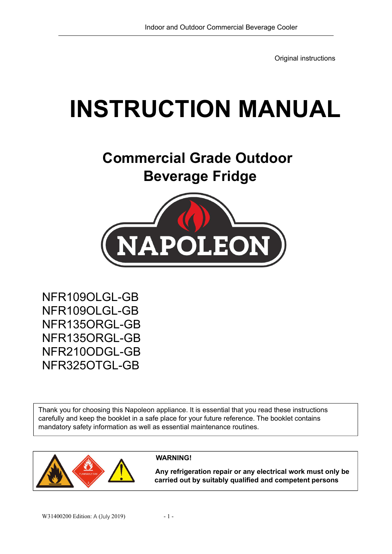Original instructions

# **INSTRUCTION MANUAL**

**Commercial Grade Outdoor Beverage Fridge**



NFR109OLGL-GB NFR109OLGL-GB NFR135ORGL-GB NFR135ORGL-GB NFR210ODGL-GB NFR325OTGL-GB

Thank you for choosing this Napoleon appliance. It is essential that you read these instructions carefully and keep the booklet in a safe place for your future reference. The booklet contains mandatory safety information as well as essential maintenance routines.



#### **WARNING!**

 **Any refrigeration repair or any electrical work must only be carried out by suitably qualified and competent persons**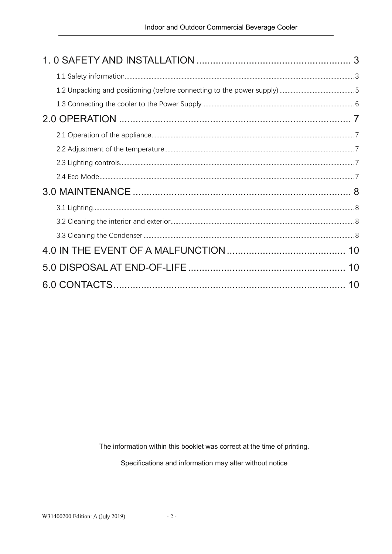The information within this booklet was correct at the time of printing.

Specifications and information may alter without notice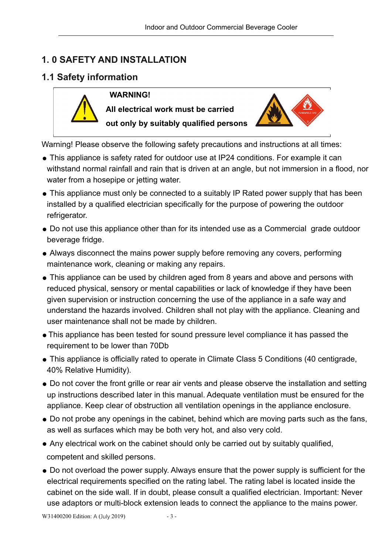# **1. 0 SAFETY AND INSTALLATION**

#### **1.1 Safety information**

#### **WARNING!**





Warning! Please observe the following safety precautions and instructions at all times:

- This appliance is safety rated for outdoor use at IP24 conditions. For example it can withstand normal rainfall and rain that is driven at an angle, but not immersion in a flood, nor water from a hosepipe or jetting water.
- This appliance must only be connected to a suitably IP Rated power supply that has been installed by a qualified electrician specifically for the purpose of powering the outdoor refrigerator.
- Do not use this appliance other than for its intended use as a Commercial grade outdoor beverage fridge.
- Always disconnect the mains power supply before removing any covers, performing maintenance work, cleaning or making any repairs.
- This appliance can be used by children aged from 8 years and above and persons with reduced physical, sensory or mental capabilities or lack of knowledge if they have been given supervision or instruction concerning the use of the appliance in a safe way and understand the hazards involved. Children shall not play with the appliance. Cleaning and user maintenance shall not be made by children.
- This appliance has been tested for sound pressure level compliance it has passed the requirement to be lower than 70Db
- This appliance is officially rated to operate in Climate Class 5 Conditions (40 centigrade, 40% Relative Humidity).
- Do not cover the front grille or rear air vents and please observe the installation and setting up instructions described later in this manual. Adequate ventilation must be ensured for the appliance. Keep clear of obstruction all ventilation openings in the appliance enclosure.
- Do not probe any openings in the cabinet, behind which are moving parts such as the fans, as well as surfaces which may be both very hot, and also very cold.
- Any electrical work on the cabinet should only be carried out by suitably qualified, competent and skilled persons.
- Do not overload the power supply. Always ensure that the power supply is sufficient for the electrical requirements specified on the rating label. The rating label is located inside the cabinet on the side wall. If in doubt, please consult a qualified electrician. Important: Never use adaptors or multi-block extension leads to connect the appliance to the mains power.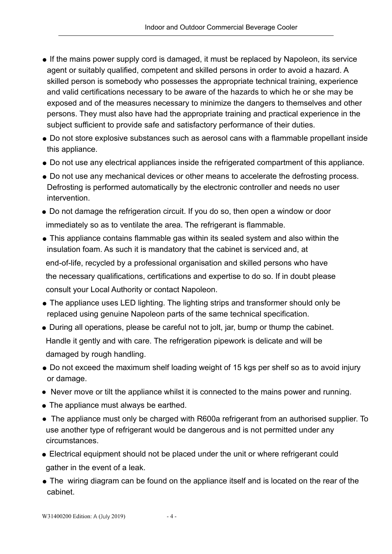- If the mains power supply cord is damaged, it must be replaced by Napoleon, its service agent or suitably qualified, competent and skilled persons in order to avoid a hazard. A skilled person is somebody who possesses the appropriate technical training, experience and valid certifications necessary to be aware of the hazards to which he or she may be exposed and of the measures necessary to minimize the dangers to themselves and other persons. They must also have had the appropriate training and practical experience in the subject sufficient to provide safe and satisfactory performance of their duties.
- Do not store explosive substances such as aerosol cans with a flammable propellant inside this appliance.
- Do not use any electrical appliances inside the refrigerated compartment of this appliance.
- Do not use any mechanical devices or other means to accelerate the defrosting process. Defrosting is performed automatically by the electronic controller and needs no user intervention.
- Do not damage the refrigeration circuit. If you do so, then open a window or door immediately so as to ventilate the area. The refrigerant is flammable.
- This appliance contains flammable gas within its sealed system and also within the insulation foam. As such it is mandatory that the cabinet is serviced and, at end-of-life, recycled by a professional organisation and skilled persons who have the necessary qualifications, certifications and expertise to do so. If in doubt please consult your Local Authority or contact Napoleon.
- The appliance uses LED lighting. The lighting strips and transformer should only be replaced using genuine Napoleon parts of the same technical specification.
- During all operations, please be careful not to jolt, jar, bump or thump the cabinet. Handle it gently and with care. The refrigeration pipework is delicate and will be damaged by rough handling.
- Do not exceed the maximum shelf loading weight of 15 kgs per shelf so as to avoid injury or damage.
- Never move or tilt the appliance whilst it is connected to the mains power and running.
- The appliance must always be earthed.
- The appliance must only be charged with R600a refrigerant from an authorised supplier. To use another type of refrigerant would be dangerous and is not permitted under any circumstances.
- Electrical equipment should not be placed under the unit or where refrigerant could gather in the event of a leak.
- The wiring diagram can be found on the appliance itself and is located on the rear of the cabinet.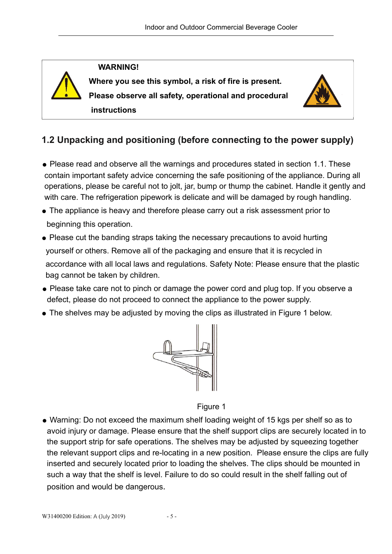### **WARNING!**

**Where you see this symbol, a risk of fire is present. Please observe all safety, operational and procedural instructions**



# **1.2 Unpacking and positioning (before connecting to the power supply)**

- Please read and observe all the warnings and procedures stated in section 1.1. These contain important safety advice concerning the safe positioning of the appliance. During all operations, please be careful not to jolt, jar, bump or thump the cabinet. Handle it gently and with care. The refrigeration pipework is delicate and will be damaged by rough handling.
- The appliance is heavy and therefore please carry out a risk assessment prior to beginning this operation.
- Please cut the banding straps taking the necessary precautions to avoid hurting yourself or others. Remove all of the packaging and ensure that it is recycled in accordance with all local laws and regulations. Safety Note: Please ensure that the plastic bag cannot be taken by children.
- Please take care not to pinch or damage the power cord and plug top. If you observe a defect, please do not proceed to connect the appliance to the power supply.
- The shelves may be adjusted by moving the clips as illustrated in Figure 1 below.



Figure 1

● Warning: Do not exceed the maximum shelf loading weight of 15 kgs per shelf so as to avoid injury or damage. Please ensure that the shelf support clips are securely located in to the support strip for safe operations. The shelves may be adjusted by squeezing together the relevant support clips and re-locating in a new position. Please ensure the clips are fully inserted and securely located prior to loading the shelves. The clips should be mounted in such a way that the shelf is level. Failure to do so could result in the shelf falling out of position and would be dangerous.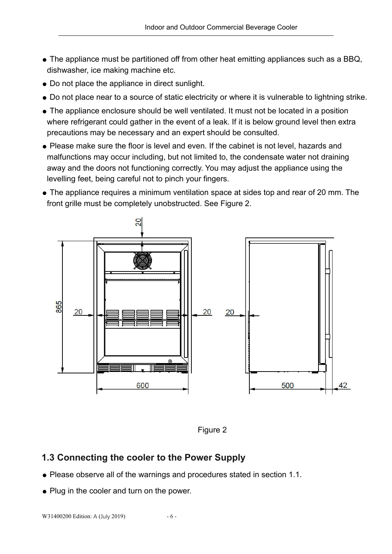- The appliance must be partitioned off from other heat emitting appliances such as a BBQ, dishwasher, ice making machine etc.
- Do not place the appliance in direct sunlight.
- Do not place near to a source of static electricity or where it is vulnerable to lightning strike.
- The appliance enclosure should be well ventilated. It must not be located in a position where refrigerant could gather in the event of a leak. If it is below ground level then extra precautions may be necessary and an expert should be consulted.
- Please make sure the floor is level and even. If the cabinet is not level, hazards and malfunctions may occur including, but not limited to, the condensate water not draining away and the doors not functioning correctly. You may adjust the appliance using the levelling feet, being careful not to pinch your fingers.
- The appliance requires a minimum ventilation space at sides top and rear of 20 mm. The front grille must be completely unobstructed. See Figure 2.



Figure 2

#### **1.3 Connecting the cooler to the Power Supply**

- Please observe all of the warnings and procedures stated in section 1.1.
- Plug in the cooler and turn on the power.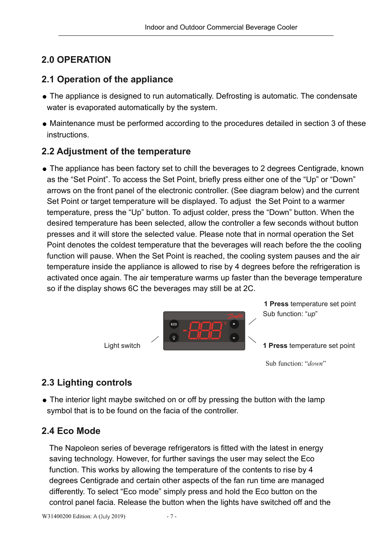# **2.0 OPERATION**

### **2.1 Operation of the appliance**

- The appliance is designed to run automatically. Defrosting is automatic. The condensate water is evaporated automatically by the system.
- Maintenance must be performed according to the procedures detailed in section 3 of these instructions.

## **2.2 Adjustment of the temperature**

• The appliance has been factory set to chill the beverages to 2 degrees Centigrade, known as the "Set Point". To access the Set Point, briefly press either one of the "Up" or "Down" arrows on the front panel of the electronic controller. (See diagram below) and the current Set Point or target temperature will be displayed. To adjust the Set Point to a warmer temperature, press the "Up" button. To adjust colder, press the "Down" button. When the desired temperature has been selected, allow the controller a few seconds without button presses and it will store the selected value. Please note that in normal operation the Set Point denotes the coldest temperature that the beverages will reach before the the cooling function will pause. When the Set Point is reached, the cooling system pauses and the air temperature inside the appliance is allowed to rise by 4 degrees before the refrigeration is activated once again. The air temperature warms up faster than the beverage temperature so if the display shows 6C the beverages may still be at 2C.



 **1 Press** temperature set point Sub function: "*up*"

Sub function: "*down*"

# **2.3 Lighting controls**

• The interior light maybe switched on or off by pressing the button with the lamp symbol that is to be found on the facia of the controller.

#### **2.4 Eco Mode**

The Napoleon series of beverage refrigerators is fitted with the latest in energy saving technology. However, for further savings the user may select the Eco function. This works by allowing the temperature of the contents to rise by 4 degrees Centigrade and certain other aspects of the fan run time are managed differently. To select "Eco mode" simply press and hold the Eco button on the control panel facia. Release the button when the lights have switched off and the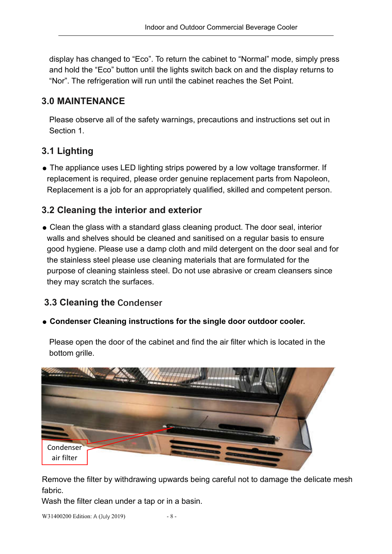display has changed to "Eco". To return the cabinet to "Normal" mode, simply press and hold the "Eco" button until the lights switch back on and the display returns to "Nor". The refrigeration will run until the cabinet reaches the Set Point.

#### **3.0 MAINTENANCE**

Please observe all of the safety warnings, precautions and instructions set out in Section 1.

#### **3.1 Lighting**

• The appliance uses LED lighting strips powered by a low voltage transformer. If replacement is required, please order genuine replacement parts from Napoleon, Replacement is a job for an appropriately qualified, skilled and competent person.

#### **3.2 Cleaning the interior and exterior**

● Clean the glass with a standard glass cleaning product. The door seal, interior walls and shelves should be cleaned and sanitised on a regular basis to ensure good hygiene. Please use a damp cloth and mild detergent on the door seal and for the stainless steel please use cleaning materials that are formulated for the purpose of cleaning stainless steel. Do not use abrasive or cream cleansers since they may scratch the surfaces.

#### **3.3 Cleaning the** Condenser

#### ● **Condenser Cleaning instructions for the single door outdoor cooler.**

Please open the door of the cabinet and find the air filter which is located in the bottom grille.



Remove the filter by withdrawing upwards being careful not to damage the delicate mesh fabric.

Wash the filter clean under a tap or in a basin.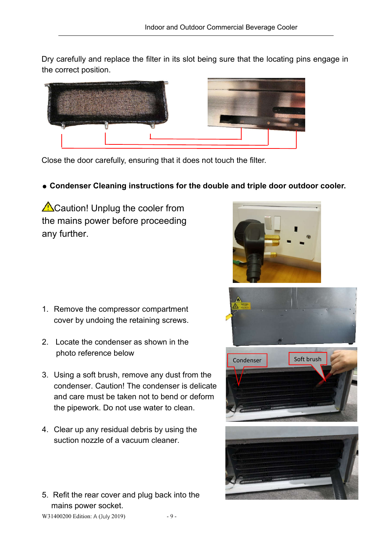Dry carefully and replace the filter in its slot being sure that the locating pins engage in the correct position.



Close the door carefully, ensuring that it does not touch the filter.

● **Condenser Cleaning instructions for the double and triple door outdoor cooler.**

**A**Caution! Unplug the cooler from the mains power before proceeding any further.

- 1. Remove the compressor compartment cover by undoing the retaining screws.
- 2. Locate the condenser as shown in the photo reference below
- 3. Using a soft brush, remove any dust from the condenser. Caution! The condenser is delicate and care must be taken not to bend or deform the pipework. Do not use water to clean.
- 4. Clear up any residual debris by using the suction nozzle of a vacuum cleaner.
- 5. Refit the rear cover and plug back into the mains power socket.

W31400200 Edition: A (July 2019) - 9 -